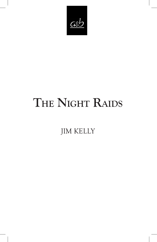

## THE NIGHT RAIDS

JIM KELLY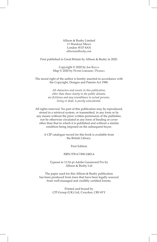Allison & Busby Limited 11 Wardour Mews London W1F 8AN *allisonandbusby.com*

First published in Great Britain by Allison & Busby in 2020.

Copyright © 2020 by Jim Kelly Map © 2020 by PETER LORIMER / PIGHILL

The moral right of the author is hereby asserted in accordance with the Copyright, Designs and Patents Act 1988.

> *All characters and events in this publication, other than those clearly in the public domain, are fictitious and any resemblance to actual persons, living or dead, is purely coincidental.*

All rights reserved. No part of this publication may be reproduced. stored in a retrieval system, or transmitted, in any form or by any means without the prior written permission of the publisher, nor be otherwise circulated in any form of binding or cover other than that in which it is published and without a similar condition being imposed on the subsequent buyer.

> A CIP catalogue record for this book is available from the British Library.

> > First Edition

ISBN 978-0-7490-2482-6

Typeset in 11/16 pt Adobe Garamond Pro by Allison & Busby Ltd

The paper used for this Allison & Busby publication has been produced from trees that have been legally sourced from well-managed and credibly certified forests.

> Printed and bound by CPI Group (UK) Ltd, Croydon, CR0 4YY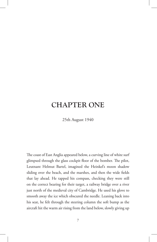## CHAPTER ONE

25th August 1940

The coast of East Anglia appeared below, a curving line of white surf glimpsed through the glass cockpit floor of the bomber. The pilot, Leutnant Helmut Bartel, imagined the Heinkel's moon shadow sliding over the beach, and the marshes, and then the wide fields that lay ahead. He tapped his compass, checking they were still on the correct bearing for their target, a railway bridge over a river just north of the medieval city of Cambridge. He used his glove to smooth away the ice which obscured the needle. Leaning back into his seat, he felt through the steering column the soft bump as the aircraft hit the warm air rising from the land below, slowly giving up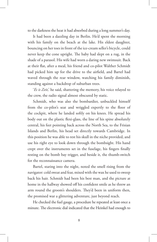to the darkness the heat it had absorbed during a long summer's day.

It had been a dazzling day in Berlin. He'd spent the morning with his family on the beach at the lake. His eldest daughter, bouncing on her toes in front of the ice-cream seller's bicycle, could never keep the cone upright. The baby had slept on a rug, in the shade of a parasol. His wife had worn a daring new swimsuit. Back at their flat, after a meal, his friend and co-pilot Walther Schmidt had picked him up for the drive to the airfield, and Bartel had waved through the rear window, watching his family diminish, standing against a backdrop of suburban trees.

'*Es is Zeit*,' he said, shattering the memory, his voice relayed to the crew, the radio signal almost obscured by static.

Schmidt, who was also the bombardier, unbuckled himself from the co-pilot's seat and wriggled expertly to the floor of the cockpit, where he landed softly on his knees. He spread his body out on the plastic flexi-glass, the line of his spine absolutely central, his feet pointing back across the North Sea, to the Frisian Islands and Berlin, his head set directly towards Cambridge. In this position he was able to rest his skull in the niche provided, and use his right eye to look down through the bombsight. His hand crept over the instruments set in the fuselage, his fingers finally resting on the bomb bay trigger, and beside it, the thumb-switch for the reconnaissance camera.

Bartel, staring into the night, noted the smell rising from the navigator: cold sweat and fear, mixed with the wax he used to sweep back his hair. Schmidt had been his best man, and the picture at home in the hallway showed off his confident smile as he threw an arm round the groom's shoulders. They'd been in uniform then, the promised war a glittering adventure, just beyond reach.

He checked the fuel gauge, a procedure he repeated at least once a minute. The electronic dial indicated that the Heinkel had enough to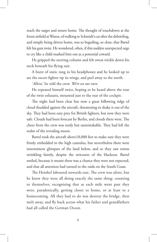reach the target and return home. The thought of touchdown at the forest airfield at Waren, of walking to Schmidt's car after the debriefing, and simply being driven home, was so beguiling, so close, that Bartel felt his guts twist. He wondered, often, if this sudden unexpected urge to cry like a child marked him out as a potential coward.

He gripped the steering column and felt sweat trickle down his neck beneath his flying suit.

A burst of static rang in his headphones and he looked up to see the escort fighter tip its wings, and peel away to the north.

'*Allein*,' he told the crew. *We're on our own.*

He repeated himself twice, hoping to be heard above the roar of the twin exhausts, mounted just to the rear of the cockpit.

The night had been clear but now a great billowing ridge of cloud thudded against the aircraft, threatening to shake it out of the sky. They had been easy prey for British fighters, but now they were safe. Clouds had been forecast by Berlin, and clouds there were. The cheer from the crew was reedy but unmistakable. They had left the realm of the revealing moon.

Bartel took the aircraft above18,000 feet to make sure they were firmly embedded in the high cumulus, but nevertheless there were intermittent glimpses of the land below, and so they saw towns twinkling faintly, despite the strictures of the blackout. Bartel smiled, because it meant there was a chance they were not expected, and that all attention had turned to the raids on the South Coast.

The Heinkel laboured onwards east. The crew was silent, but he knew they were all doing exactly the same thing: counting to themselves, recognising that as each mile went past they were, paradoxically, getting closer to home, or at least to a homecoming*.* All they had to do was destroy the bridge, then melt away, and fly back across what his father and grandfathers had all called the German Ocean.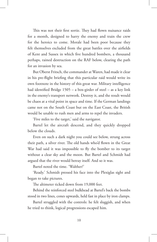This was not their first sortie. They had flown nuisance raids for a month, designed to harry the enemy and train the crew for the heroics to come. Morale had been poor because they felt themselves excluded from the great battles over the airfields of Kent and Sussex in which five hundred bombers, a thousand perhaps, rained destruction on the RAF below, clearing the path for an invasion by sea.

But Oberst Fritsch, the commander at Waren, had made it clear in his pre-flight briefing that this particular raid would write its own footnote in the history of this great war. Military intelligence had identified Bridge 1505 – a box-girder of steel – as a key link in the enemy's transport network. Destroy it, and the result would be chaos at a vital point in space and time. If the German landings came not on the South Coast but on the East Coast, the British would be unable to rush men and arms to repel the invaders.

'Five miles to the target,' said the navigator.

Bartel let the aircraft descend, and they quickly dropped below the clouds.

Even on such a dark night you could see below, strung across their path, a silver river. The old hands who'd flown in the Great War had said it was impossible to fly the bomber to its target without a clear sky and the moon. But Bartel and Schmidt had argued that the river would betray itself. And so it was.

Bartel noted the time. 'Walther?'

'Ready.' Schmidt pressed his face into the Plexiglas sight and began to take pictures.

The altimeter ticked down from 19,000 feet.

Behind the reinforced steel bulkhead at Bartel's back the bombs stood in two lines, cones upwards, held fast in place by iron clamps.

Bartel struggled with the controls: he felt sluggish, and when he tried to think, logical progressions escaped him.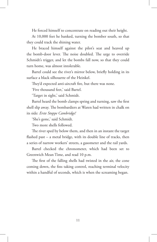He forced himself to concentrate on reading out their height.

At 10,000 feet he banked, turning the bomber south, so that they could track the shining water.

He braced himself against the pilot's seat and heaved up the bomb-door lever. The noise doubled. The urge to override Schmidt's trigger, and let the bombs fall now, so that they could turn home, was almost intolerable.

Bartel could see the river's mirror below, briefly holding in its surface a black silhouette of the Heinkel.

They'd expected anti-aircraft fire, but there was none.

'Five thousand feet,' said Bartel.

'Target in sight,' said Schmidt.

Bartel heard the bomb clamps spring and turning, saw the first shell slip away. The bombardiers at Waren had written in chalk on its side: *Erste Stoppe Cambridge!*

'She's gone,' said Schmidt.

Two more shells followed.

The river sped by below them, and then in an instant the target flashed past – a metal bridge, with its double line of tracks, then a series of narrow workers' streets, a gasometer and the rail yards.

Bartel checked the chronometer, which had been set to Greenwich Mean Time, and read 10 p.m.

The first of the falling shells had twisted in the air, the cone coming down, the fins taking control, reaching terminal velocity within a handful of seconds, which is when the screaming began.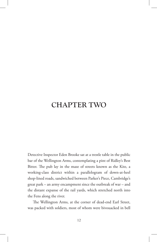## CHAPTER TWO

Detective Inspector Eden Brooke sat at a trestle table in the public bar of the Wellington Arms, contemplating a pint of Ridley's Best Bitter. The pub lay in the maze of streets known as the Kite, a working-class district within a parallelogram of down-at-heel shop-lined roads, sandwiched between Parker's Piece, Cambridge's great park – an army encampment since the outbreak of war – and the distant expanse of the rail yards, which stretched north into the Fens along the river.

The Wellington Arms, at the corner of dead-end Earl Street, was packed with soldiers, most of whom were bivouacked in bell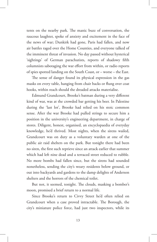tents on the nearby park. The manic buzz of conversation, the raucous laughter, spoke of anxiety and excitement in the face of the news of war; Dunkirk had gone, Paris had fallen, and now air battles raged over the Home Counties, and everyone talked of the imminent threat of invasion. No day passed without hysterical 'sightings' of German parachutists, reports of shadowy fifth columnists sabotaging the war effort from within, or radio reports of spies spotted landing on the South Coast, or – worse – the East.

The sense of danger found its physical expression in the gas masks on every table, hanging from chair backs or flung over coat hooks, within reach should the dreaded attacks materialise.

Edmund Grandcourt, Brooke's batman during a very different kind of war, was at the crowded bar getting his beer. In Palestine during the 'last lot', Brooke had relied on his stoic common sense. After the war Brooke had pulled strings to secure him a position in the university's engineering department, in charge of stores. Diligent, honest, organised, an encyclopaedia of everyday knowledge, he'd thrived. Most nights, when the sirens wailed, Grandcourt was on duty as a voluntary warden at one of the public air raid shelters on the park. But tonight there had been no siren, the first such reprieve since an attack earlier that summer which had left nine dead and a terraced street reduced to rubble. No more bombs had fallen since, but the sirens had sounded nonetheless, sending the city's weary residents below ground, or out into backyards and gardens to the damp delights of Anderson shelters and the horrors of the chemical toilet.

But not, it seemed, tonight. The clouds, masking a bomber's moon, promised a brief return to a normal life.

Since Brooke's return to Civvy Street he'd often relied on Grandcourt when a case proved intractable. The Borough, the city's miniature police force, had just two inspectors, while its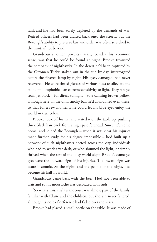rank-and-file had been sorely depleted by the demands of war. Retired officers had been drafted back onto the streets, but the Borough's ability to preserve law and order was often stretched to the limit, if not beyond.

Grandcourt's other priceless asset, besides his common sense, was that he could be found at night. Brooke treasured the company of nighthawks. In the desert he'd been captured by the Ottoman Turks: staked out in the sun by day, interrogated before the silvered lamp by night. His eyes, damaged, had never recovered. He wore tinted glasses of various hues to alleviate the pain of photophobia *–* an extreme sensitivity to light. They ranged from jet black – for direct sunlight – to a calming brown-yellow, although here, in the dim, smoky bar, he'd abandoned even these, so that for a few moments he could let his blue eyes enjoy the world in true colour.

Brooke took off his hat and rested it on the tabletop, pushing thick black hair back from a high pale forehead. Since he'd come home, and joined the Borough – when it was clear his injuries made further study for his degree impossible – he'd built up a network of such nighthawks dotted across the city, individuals who had to work after dark, or who shunned the light, or simply thrived when the rest of the busy world slept. Brooke's damaged eyes were the outward sign of his injuries. The inward sign was acute insomnia. So the night, and the people of the night, had become his half-lit world.

Grandcourt came back with the beer. He'd not been able to wait and so his moustache was decorated with suds.

'So what's this, sir?' Grandcourt was almost part of the family, familiar with Claire and the children, but the 'sir' never faltered, although its note of deference had faded over the years.

Brooke had placed a small bottle on the table. It was made of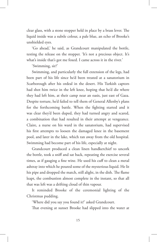clear glass, with a stone stopper held in place by a brass lever. The liquid inside was a subtle colour, a pale blue, an echo of Brooke's unshielded eyes.

'Go ahead,' he said, as Grandcourt manipulated the bottle, testing the release on the stopper. 'It's not a precious object. It's what's inside that's got me foxed. I came across it in the river.'

'Swimming, sir?'

Swimming, and particularly the full extension of the legs, had been part of his life since he'd been treated at a sanatorium in Scarborough after his ordeal in the desert. His Turkish captors had shot him twice in the left knee, hoping that he'd die where they had left him, at their camp near an oasis, just east of Gaza. Despite torture, he'd failed to tell them of General Allenby's plans for the forthcoming battle. When the fighting started and it was clear they'd been duped, they had turned angry and scared, a combination that had resulted in their attempt at vengeance. Claire, a nurse on his ward in the sanatorium, had supervised his first attempts to loosen the damaged knee in the basement pool, and later in the lake, which ran away from the old hospital. Swimming had become part of his life, especially at night.

Grandcourt produced a clean linen handkerchief to uncork the bottle, took a sniff and sat back, repeating the exercise several times, as if gauging a fine wine. He used his cuff to clean a metal ashtray into which he poured some of the mysterious liquid. He lit his pipe and dropped the match, still alight, in the dish. The flame leapt, the combustion almost complete in the instant, so that all that was left was a drifting cloud of thin vapour.

It reminded Brooke of the ceremonial lighting of the Christmas pudding.

'Where did you say you found it?' asked Grandcourt.

That evening at sunset Brooke had slipped into the water at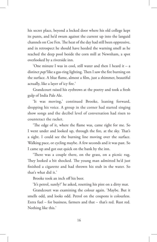his secret place, beyond a locked door where his old college kept its punts, and he'd swum against the current up into the languid channels on Coe Fen. The heat of the day had still been oppressive, and in retrospect he should have heeded the warning smell as he reached the deep pool beside the corn mill at Newnham, a spot overlooked by a riverside inn.

'One minute I was in cool, still water and then I heard it – a distinct *pop!* like a gas-ring lighting. Then I saw the fire burning on the surface. A blue flame, almost a film, just a shimmer, beautiful actually, like a layer of icy fire.'

Grandcourt raised his eyebrows at the poetry and took a fresh gulp of India Pale Ale.

'It was moving,' continued Brooke, leaning forward, dropping his voice. A group in the corner had started singing show songs and the decibel level of conversation had risen to counteract the racket.

'The edge of it, where the flame was, came right for me. So I went under and looked up, through the fire, at the sky. That's a sight. I could see the burning line moving over the surface. Walking pace, or cycling maybe. A few seconds and it was past. So I came up and got out quick on the bank by the inn.

'There was a couple there, on the grass, on a picnic rug. They looked a bit shocked. The young man admitted he'd just finished a cigarette and had thrown his stub in the water. So that's what did it.'

Brooke took an inch off his beer.

'It's petrol, surely?' he asked, resetting his pint on a dirty mat.

Grandcourt was examining the colour again. 'Maybe. But it smells odd, and looks odd. Petrol on the coupons is colourless. Extra fuel – for business, farmers and that – that's red. Rust red. Nothing like this.'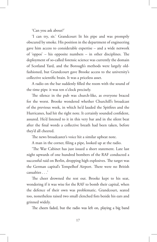'Can you ask about?'

'I can try, sir.' Grandcourt lit his pipe and was promptly obscured by smoke. His position in the department of engineering gave him access to considerable expertise – and a wide network of 'oppos' – his opposite numbers – in other disciplines. The deployment of so-called forensic science was currently the domain of Scotland Yard, and the Borough's methods were largely oldfashioned, but Grandcourt gave Brooke access to the university's collective scientific brain. It was a priceless asset.

A radio on the bar suddenly filled the room with the sound of the time pips: it was ten o'clock precisely.

The silence in the pub was church-like, as everyone braced for the worst. Brooke wondered whether Churchill's broadcast of the previous week, in which he'd lauded the Spitfires and the Hurricanes, had hit the right note. It certainly sounded confident, assured. He'd listened to it in this very bar and in the silent beat after the final words a collective breath had been taken, before they'd all cheered.

The news broadcaster's voice hit a similar upbeat note.

A man in the corner, filing a pipe, looked up at the radio.

'The War Cabinet has just issued a short statement. Late last night upwards of one hundred bombers of the RAF conducted a successful raid on Berlin, dropping high explosives. The target was the German capital's Tempelhof Airport. There were no British casualties . . .'

The cheer drowned the rest out. Brooke kept to his seat, wondering if it was wise for the RAF to bomb their capital, when the defence of their own was problematic. Grandcourt, seated too, nonetheless raised two small clenched fists beside his ears and grinned widely.

The cheers faded, but the radio was left on, playing a big band